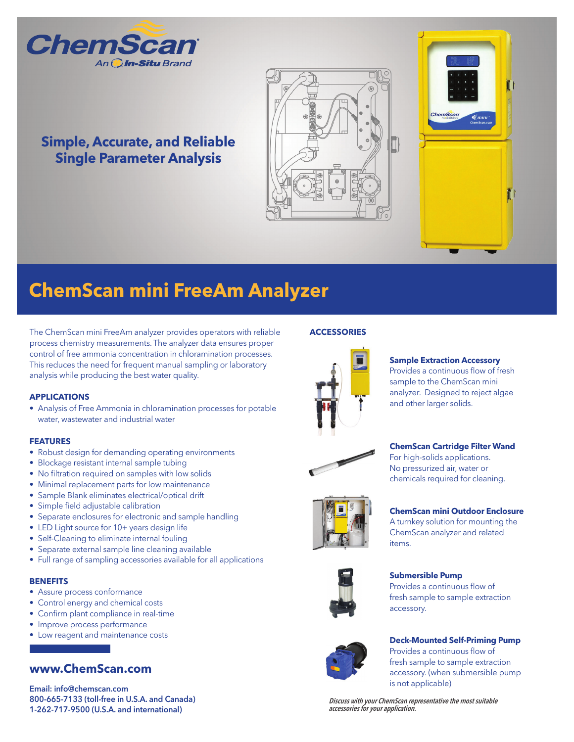

# **Simple, Accurate, and Reliable Single Parameter Analysis**





# **ChemScan mini FreeAm Analyzer**

The ChemScan mini FreeAm analyzer provides operators with reliable process chemistry measurements. The analyzer data ensures proper control of free ammonia concentration in chloramination processes. This reduces the need for frequent manual sampling or laboratory analysis while producing the best water quality.

#### **APPLICATIONS**

• Analysis of Free Ammonia in chloramination processes for potable water, wastewater and industrial water

#### **FEATURES**

- Robust design for demanding operating environments
- Blockage resistant internal sample tubing
- No filtration required on samples with low solids
- Minimal replacement parts for low maintenance
- Sample Blank eliminates electrical/optical drift
- Simple field adjustable calibration
- Separate enclosures for electronic and sample handling
- LED Light source for 10+ years design life
- Self-Cleaning to eliminate internal fouling
- Separate external sample line cleaning available
- Full range of sampling accessories available for all applications

#### **BENEFITS**

- Assure process conformance
- Control energy and chemical costs
- Confirm plant compliance in real-time
- Improve process performance
- Low reagent and maintenance costs

### **www.ChemScan.com**

Email: info@chemscan.com 800-665-7133 (toll-free in U.S.A. and Canada) 1-262-717-9500 (U.S.A. and international)

#### **ACCESSORIES**



#### **Sample Extraction Accessory**

Provides a continuous flow of fresh sample to the ChemScan mini analyzer. Designed to reject algae and other larger solids.



#### **ChemScan Cartridge Filter Wand**

For high-solids applications. No pressurized air, water or chemicals required for cleaning.



## **ChemScan mini Outdoor Enclosure**  A turnkey solution for mounting the

ChemScan analyzer and related items.







#### **Deck-Mounted Self-Priming Pump** Provides a continuous flow of

fresh sample to sample extraction accessory. (when submersible pump is not applicable)

Discuss with your ChemScan representative the most suitable accessories for your application.